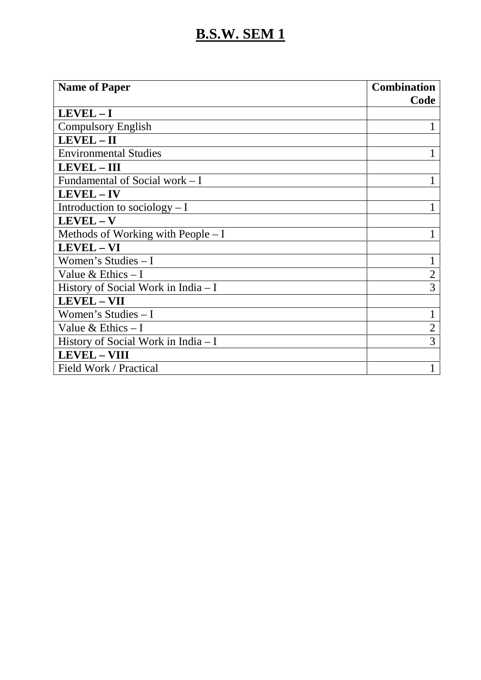| <b>Name of Paper</b>                 | <b>Combination</b> |
|--------------------------------------|--------------------|
|                                      | Code               |
| $LEVEL - I$                          |                    |
| <b>Compulsory English</b>            |                    |
| $LEVEL - II$                         |                    |
| <b>Environmental Studies</b>         |                    |
| <b>LEVEL - III</b>                   |                    |
| Fundamental of Social work – I       |                    |
| LEVEL-IV                             |                    |
| Introduction to sociology $-1$       |                    |
| $LEVEL - V$                          |                    |
| Methods of Working with People $-I$  |                    |
| <b>LEVEL - VI</b>                    |                    |
| Women's Studies $-I$                 | 1                  |
| Value & Ethics $-1$                  | $\overline{2}$     |
| History of Social Work in India - I  | 3                  |
| <b>LEVEL - VII</b>                   |                    |
| Women's Studies $-I$                 | 1                  |
| Value & Ethics $-I$                  | $\overline{2}$     |
| History of Social Work in India $-I$ | 3                  |
| <b>LEVEL - VIII</b>                  |                    |
| Field Work / Practical               |                    |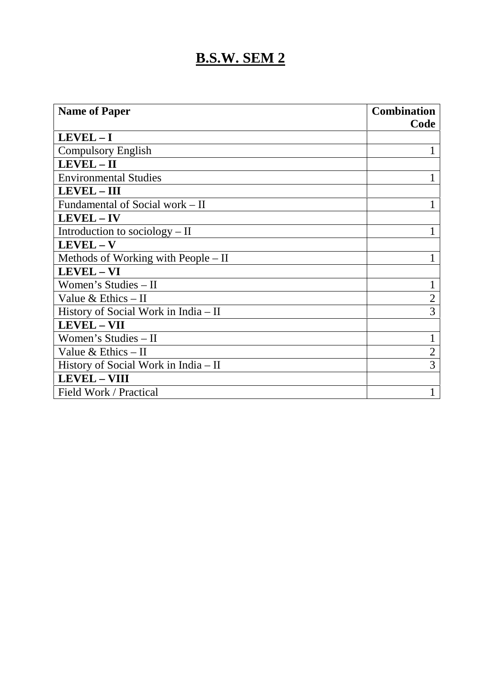| <b>Name of Paper</b>                   | <b>Combination</b> |  |
|----------------------------------------|--------------------|--|
|                                        | Code               |  |
| LEVEL-I                                |                    |  |
| <b>Compulsory English</b>              |                    |  |
| $LEVEL - II$                           |                    |  |
| <b>Environmental Studies</b>           |                    |  |
| <b>LEVEL - III</b>                     |                    |  |
| Fundamental of Social work – II        | 1                  |  |
| LEVEL - IV                             |                    |  |
| Introduction to sociology $-$ II       |                    |  |
| $LEVEL - V$                            |                    |  |
| Methods of Working with People $-$ II  |                    |  |
| LEVEL - VI                             |                    |  |
| Women's Studies - II                   | 1                  |  |
| Value & Ethics $-$ II                  | $\overline{2}$     |  |
| History of Social Work in India $-$ II | 3                  |  |
| <b>LEVEL - VII</b>                     |                    |  |
| Women's Studies - II                   |                    |  |
| Value $& Ethics - II$                  | $\overline{2}$     |  |
| History of Social Work in India $-$ II | 3                  |  |
| <b>LEVEL - VIII</b>                    |                    |  |
| Field Work / Practical                 |                    |  |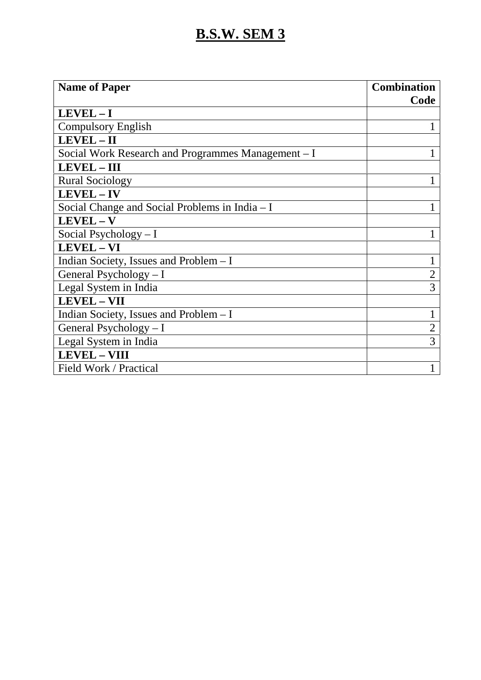| <b>Name of Paper</b>                               | <b>Combination</b> |  |
|----------------------------------------------------|--------------------|--|
|                                                    | Code               |  |
| $LEVEL - I$                                        |                    |  |
| <b>Compulsory English</b>                          |                    |  |
| LEVEL-II                                           |                    |  |
| Social Work Research and Programmes Management – I |                    |  |
| <b>LEVEL - III</b>                                 |                    |  |
| <b>Rural Sociology</b>                             |                    |  |
| LEVEL-IV                                           |                    |  |
| Social Change and Social Problems in India – I     |                    |  |
| $LEVEL - V$                                        |                    |  |
| Social Psychology - I                              |                    |  |
| LEVEL - VI                                         |                    |  |
| Indian Society, Issues and Problem - I             | 1                  |  |
| General Psychology - I                             | $\overline{2}$     |  |
| Legal System in India                              | 3                  |  |
| <b>LEVEL - VII</b>                                 |                    |  |
| Indian Society, Issues and Problem - I             | 1                  |  |
| General Psychology $- I$                           | $\overline{2}$     |  |
| Legal System in India                              | 3                  |  |
| <b>LEVEL - VIII</b>                                |                    |  |
| Field Work / Practical                             |                    |  |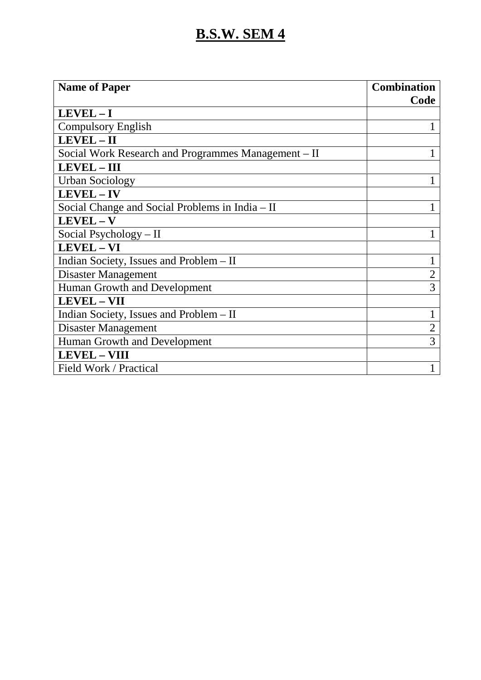| <b>Name of Paper</b>                                | <b>Combination</b> |  |
|-----------------------------------------------------|--------------------|--|
|                                                     | Code               |  |
| $LEVEL - I$                                         |                    |  |
| <b>Compulsory English</b>                           |                    |  |
| $LEVEL - II$                                        |                    |  |
| Social Work Research and Programmes Management – II |                    |  |
| <b>LEVEL - III</b>                                  |                    |  |
| <b>Urban Sociology</b>                              |                    |  |
| LEVEL - IV                                          |                    |  |
| Social Change and Social Problems in India – II     |                    |  |
| $LEVEL - V$                                         |                    |  |
| Social Psychology $-$ II                            |                    |  |
| LEVEL - VI                                          |                    |  |
| Indian Society, Issues and Problem - II             | 1                  |  |
| Disaster Management                                 | $\overline{2}$     |  |
| Human Growth and Development                        | 3                  |  |
| <b>LEVEL - VII</b>                                  |                    |  |
| Indian Society, Issues and Problem – II             | 1                  |  |
| Disaster Management                                 | $\overline{2}$     |  |
| Human Growth and Development                        | 3                  |  |
| <b>LEVEL - VIII</b>                                 |                    |  |
| Field Work / Practical                              |                    |  |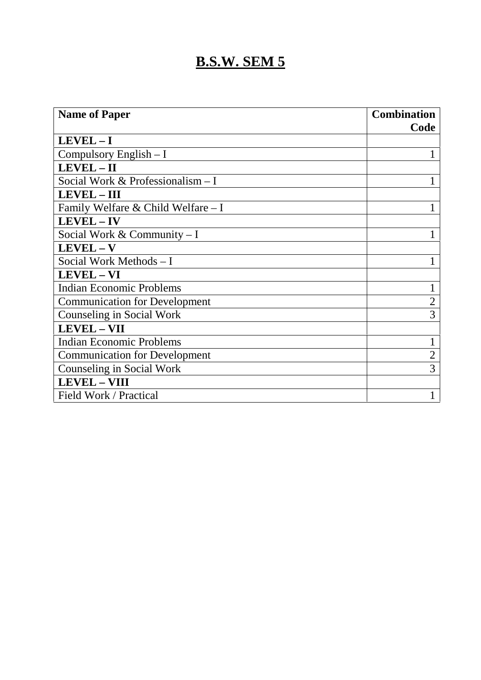| <b>Name of Paper</b>                 | <b>Combination</b> |
|--------------------------------------|--------------------|
|                                      | Code               |
| LEVEL-I                              |                    |
| Compulsory English $- I$             |                    |
| LEVEL - II                           |                    |
| Social Work & Professionalism - I    |                    |
| <b>LEVEL - III</b>                   |                    |
| Family Welfare & Child Welfare - I   |                    |
| LEVEL - IV                           |                    |
| Social Work & Community $-I$         |                    |
| LEVEL - V                            |                    |
| Social Work Methods - I              |                    |
| LEVEL - VI                           |                    |
| <b>Indian Economic Problems</b>      | T                  |
| <b>Communication for Development</b> | $\overline{2}$     |
| Counseling in Social Work            | 3                  |
| LEVEL - VII                          |                    |
| <b>Indian Economic Problems</b>      |                    |
| <b>Communication for Development</b> | $\overline{2}$     |
| Counseling in Social Work            | 3                  |
| <b>LEVEL - VIII</b>                  |                    |
| Field Work / Practical               |                    |